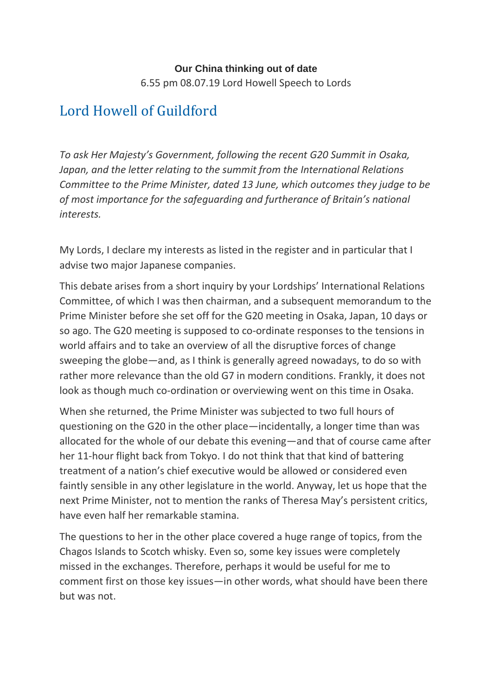## **Our China thinking out of date**

6.55 pm 08.07.19 Lord Howell Speech to Lords

## [Lord Howell of Guildford](https://hansard.parliament.uk/search/MemberContributions?house=Lords&memberId=993)

*To ask Her Majesty's Government, following the recent G20 Summit in Osaka, Japan, and the letter relating to the summit from the International Relations Committee to the Prime Minister, dated 13 June, which outcomes they judge to be of most importance for the safeguarding and furtherance of Britain's national interests.*

My Lords, I declare my interests as listed in the register and in particular that I advise two major Japanese companies.

This debate arises from a short inquiry by your Lordships' International Relations Committee, of which I was then chairman, and a subsequent memorandum to the Prime Minister before she set off for the G20 meeting in Osaka, Japan, 10 days or so ago. The G20 meeting is supposed to co-ordinate responses to the tensions in world affairs and to take an overview of all the disruptive forces of change sweeping the globe—and, as I think is generally agreed nowadays, to do so with rather more relevance than the old G7 in modern conditions. Frankly, it does not look as though much co-ordination or overviewing went on this time in Osaka.

When she returned, the Prime Minister was subjected to two full hours of questioning on the G20 in the other place—incidentally, a longer time than was allocated for the whole of our debate this evening—and that of course came after her 11-hour flight back from Tokyo. I do not think that that kind of battering treatment of a nation's chief executive would be allowed or considered even faintly sensible in any other legislature in the world. Anyway, let us hope that the next Prime Minister, not to mention the ranks of Theresa May's persistent critics, have even half her remarkable stamina.

The questions to her in the other place covered a huge range of topics, from the Chagos Islands to Scotch whisky. Even so, some key issues were completely missed in the exchanges. Therefore, perhaps it would be useful for me to comment first on those key issues—in other words, what should have been there but was not.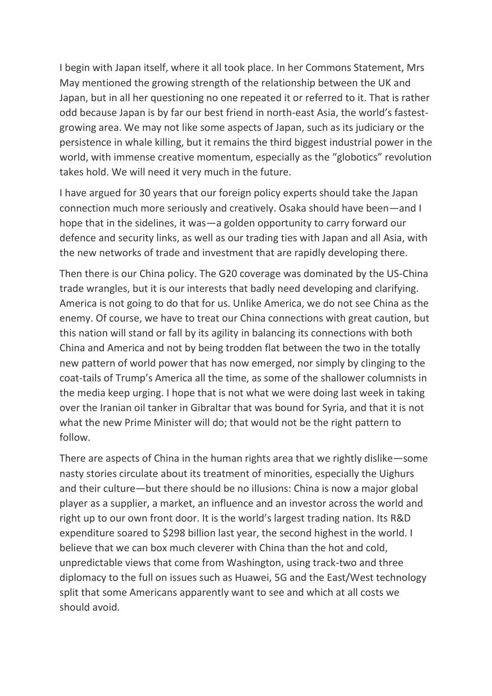I begin with Japan itself, where it all took place. In her Commons Statement, Mrs May mentioned the growing strength of the relationship between the UK and Japan, but in all her questioning no one repeated it or referred to it. That is rather odd because Japan is by far our best friend in north-east Asia, the world's fastestgrowing area. We may not like some aspects of Japan, such as its judiciary or the persistence in whale killing, but it remains the third biggest industrial power in the world, with immense creative momentum, especially as the "globotics" revolution takes hold. We will need it very much in the future.

I have argued for 30 years that our foreign policy experts should take the Japan connection much more seriously and creatively. Osaka should have been—and I hope that in the sidelines, it was—a golden opportunity to carry forward our defence and security links, as well as our trading ties with Japan and all Asia, with the new networks of trade and investment that are rapidly developing there.

Then there is our China policy. The G20 coverage was dominated by the US-China trade wrangles, but it is our interests that badly need developing and clarifying. America is not going to do that for us. Unlike America, we do not see China as the enemy. Of course, we have to treat our China connections with great caution, but this nation will stand or fall by its agility in balancing its connections with both China and America and not by being trodden flat between the two in the totally new pattern of world power that has now emerged, nor simply by clinging to the coat-tails of Trump's America all the time, as some of the shallower columnists in the media keep urging. I hope that is not what we were doing last week in taking over the Iranian oil tanker in Gibraltar that was bound for Syria, and that it is not what the new Prime Minister will do; that would not be the right pattern to follow.

There are aspects of China in the human rights area that we rightly dislike—some nasty stories circulate about its treatment of minorities, especially the Uighurs and their culture—but there should be no illusions: China is now a major global player as a supplier, a market, an influence and an investor across the world and right up to our own front door. It is the world's largest trading nation. Its R&D expenditure soared to \$298 billion last year, the second highest in the world. I believe that we can box much cleverer with China than the hot and cold, unpredictable views that come from Washington, using track-two and three diplomacy to the full on issues such as Huawei, 5G and the East/West technology split that some Americans apparently want to see and which at all costs we should avoid.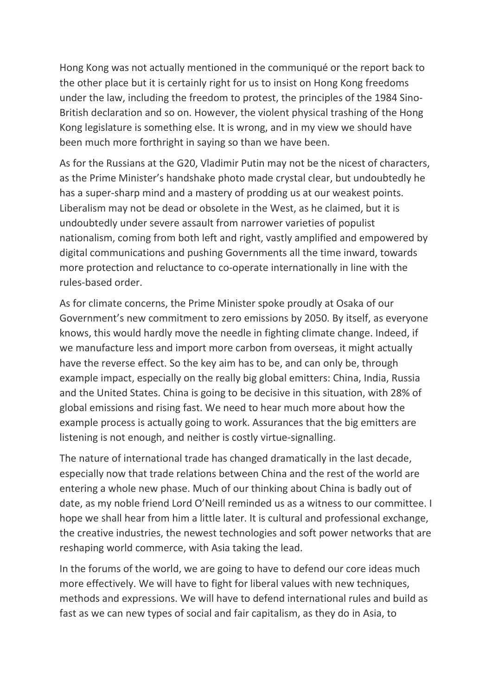Hong Kong was not actually mentioned in the communiqué or the report back to the other place but it is certainly right for us to insist on Hong Kong freedoms under the law, including the freedom to protest, the principles of the 1984 Sino-British declaration and so on. However, the violent physical trashing of the Hong Kong legislature is something else. It is wrong, and in my view we should have been much more forthright in saying so than we have been.

As for the Russians at the G20, Vladimir Putin may not be the nicest of characters, as the Prime Minister's handshake photo made crystal clear, but undoubtedly he has a super-sharp mind and a mastery of prodding us at our weakest points. Liberalism may not be dead or obsolete in the West, as he claimed, but it is undoubtedly under severe assault from narrower varieties of populist nationalism, coming from both left and right, vastly amplified and empowered by digital communications and pushing Governments all the time inward, towards more protection and reluctance to co-operate internationally in line with the rules-based order.

As for climate concerns, the Prime Minister spoke proudly at Osaka of our Government's new commitment to zero emissions by 2050. By itself, as everyone knows, this would hardly move the needle in fighting climate change. Indeed, if we manufacture less and import more carbon from overseas, it might actually have the reverse effect. So the key aim has to be, and can only be, through example impact, especially on the really big global emitters: China, India, Russia and the United States. China is going to be decisive in this situation, with 28% of global emissions and rising fast. We need to hear much more about how the example process is actually going to work. Assurances that the big emitters are listening is not enough, and neither is costly virtue-signalling.

The nature of international trade has changed dramatically in the last decade, especially now that trade relations between China and the rest of the world are entering a whole new phase. Much of our thinking about China is badly out of date, as my noble friend Lord O'Neill reminded us as a witness to our committee. I hope we shall hear from him a little later. It is cultural and professional exchange, the creative industries, the newest technologies and soft power networks that are reshaping world commerce, with Asia taking the lead.

In the forums of the world, we are going to have to defend our core ideas much more effectively. We will have to fight for liberal values with new techniques, methods and expressions. We will have to defend international rules and build as fast as we can new types of social and fair capitalism, as they do in Asia, to